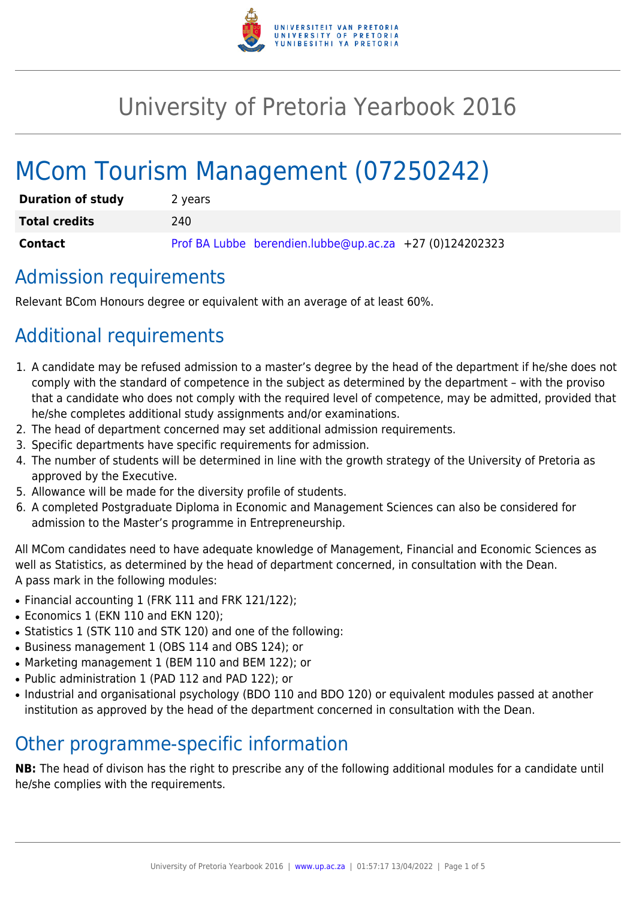

# University of Pretoria Yearbook 2016

# MCom Tourism Management (07250242)

| <b>Duration of study</b> | 2 years                                                 |
|--------------------------|---------------------------------------------------------|
| <b>Total credits</b>     | 240.                                                    |
| <b>Contact</b>           | Prof BA Lubbe berendien.lubbe@up.ac.za +27 (0)124202323 |

### Admission requirements

Relevant BCom Honours degree or equivalent with an average of at least 60%.

## Additional requirements

- 1. A candidate may be refused admission to a master's degree by the head of the department if he/she does not comply with the standard of competence in the subject as determined by the department – with the proviso that a candidate who does not comply with the required level of competence, may be admitted, provided that he/she completes additional study assignments and/or examinations.
- 2. The head of department concerned may set additional admission requirements.
- 3. Specific departments have specific requirements for admission.
- 4. The number of students will be determined in line with the growth strategy of the University of Pretoria as approved by the Executive.
- 5. Allowance will be made for the diversity profile of students.
- 6. A completed Postgraduate Diploma in Economic and Management Sciences can also be considered for admission to the Master's programme in Entrepreneurship.

All MCom candidates need to have adequate knowledge of Management, Financial and Economic Sciences as well as Statistics, as determined by the head of department concerned, in consultation with the Dean. A pass mark in the following modules:

- Financial accounting 1 (FRK 111 and FRK 121/122);
- Economics 1 (EKN 110 and EKN 120);
- Statistics 1 (STK 110 and STK 120) and one of the following:
- Business management 1 (OBS 114 and OBS 124); or
- Marketing management 1 (BEM 110 and BEM 122); or
- Public administration 1 (PAD 112 and PAD 122); or
- Industrial and organisational psychology (BDO 110 and BDO 120) or equivalent modules passed at another institution as approved by the head of the department concerned in consultation with the Dean.

### Other programme-specific information

**NB:** The head of divison has the right to prescribe any of the following additional modules for a candidate until he/she complies with the requirements.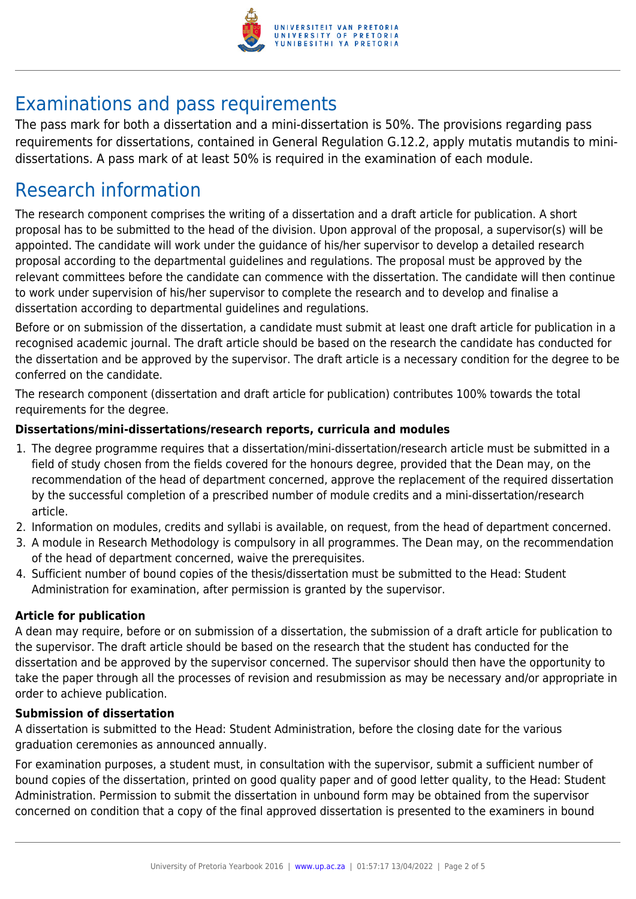

## Examinations and pass requirements

The pass mark for both a dissertation and a mini-dissertation is 50%. The provisions regarding pass requirements for dissertations, contained in General Regulation G.12.2, apply mutatis mutandis to minidissertations. A pass mark of at least 50% is required in the examination of each module.

### Research information

The research component comprises the writing of a dissertation and a draft article for publication. A short proposal has to be submitted to the head of the division. Upon approval of the proposal, a supervisor(s) will be appointed. The candidate will work under the guidance of his/her supervisor to develop a detailed research proposal according to the departmental guidelines and regulations. The proposal must be approved by the relevant committees before the candidate can commence with the dissertation. The candidate will then continue to work under supervision of his/her supervisor to complete the research and to develop and finalise a dissertation according to departmental guidelines and regulations.

Before or on submission of the dissertation, a candidate must submit at least one draft article for publication in a recognised academic journal. The draft article should be based on the research the candidate has conducted for the dissertation and be approved by the supervisor. The draft article is a necessary condition for the degree to be conferred on the candidate.

The research component (dissertation and draft article for publication) contributes 100% towards the total requirements for the degree.

#### **Dissertations/mini-dissertations/research reports, curricula and modules**

- 1. The degree programme requires that a dissertation/mini-dissertation/research article must be submitted in a field of study chosen from the fields covered for the honours degree, provided that the Dean may, on the recommendation of the head of department concerned, approve the replacement of the required dissertation by the successful completion of a prescribed number of module credits and a mini-dissertation/research article.
- 2. Information on modules, credits and syllabi is available, on request, from the head of department concerned.
- 3. A module in Research Methodology is compulsory in all programmes. The Dean may, on the recommendation of the head of department concerned, waive the prerequisites.
- 4. Sufficient number of bound copies of the thesis/dissertation must be submitted to the Head: Student Administration for examination, after permission is granted by the supervisor.

#### **Article for publication**

A dean may require, before or on submission of a dissertation, the submission of a draft article for publication to the supervisor. The draft article should be based on the research that the student has conducted for the dissertation and be approved by the supervisor concerned. The supervisor should then have the opportunity to take the paper through all the processes of revision and resubmission as may be necessary and/or appropriate in order to achieve publication.

#### **Submission of dissertation**

A dissertation is submitted to the Head: Student Administration, before the closing date for the various graduation ceremonies as announced annually.

For examination purposes, a student must, in consultation with the supervisor, submit a sufficient number of bound copies of the dissertation, printed on good quality paper and of good letter quality, to the Head: Student Administration. Permission to submit the dissertation in unbound form may be obtained from the supervisor concerned on condition that a copy of the final approved dissertation is presented to the examiners in bound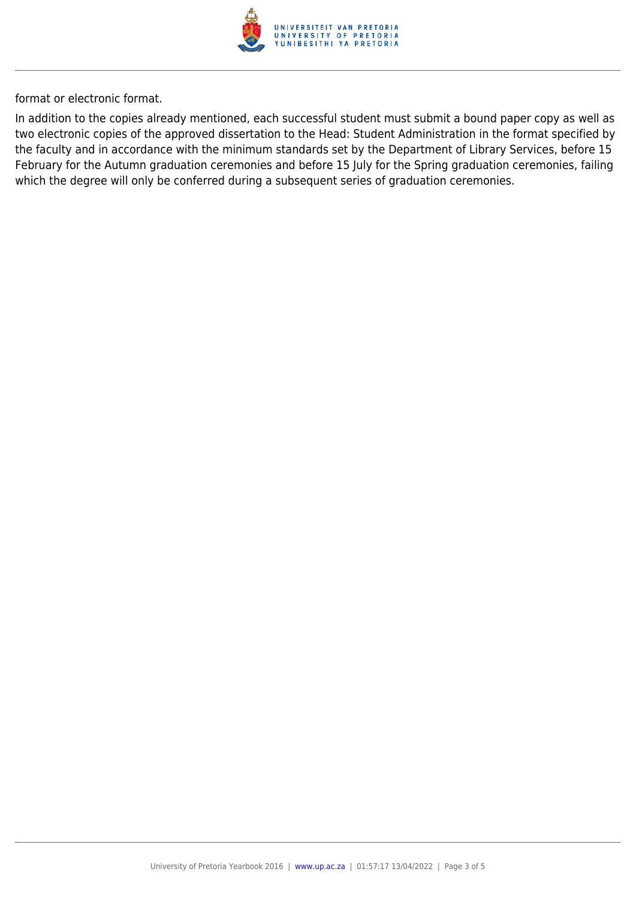

format or electronic format.

In addition to the copies already mentioned, each successful student must submit a bound paper copy as well as two electronic copies of the approved dissertation to the Head: Student Administration in the format specified by the faculty and in accordance with the minimum standards set by the Department of Library Services, before 15 February for the Autumn graduation ceremonies and before 15 July for the Spring graduation ceremonies, failing which the degree will only be conferred during a subsequent series of graduation ceremonies.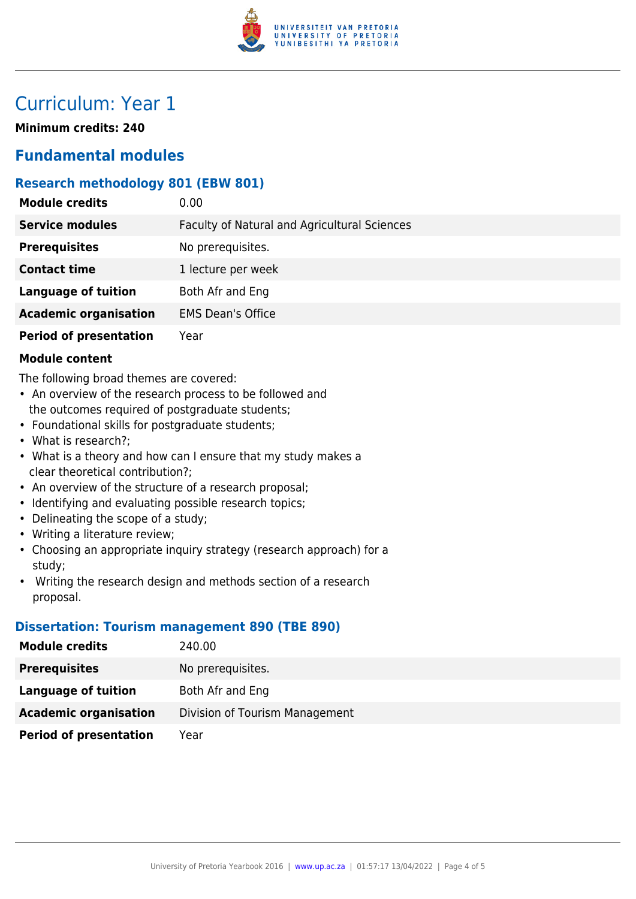

### Curriculum: Year 1

**Minimum credits: 240**

### **Fundamental modules**

#### **Research methodology 801 (EBW 801)**

| <b>Module credits</b>         | 0.00                                         |
|-------------------------------|----------------------------------------------|
| <b>Service modules</b>        | Faculty of Natural and Agricultural Sciences |
| <b>Prerequisites</b>          | No prerequisites.                            |
| <b>Contact time</b>           | 1 lecture per week                           |
| <b>Language of tuition</b>    | Both Afr and Eng                             |
| <b>Academic organisation</b>  | <b>EMS Dean's Office</b>                     |
| <b>Period of presentation</b> | Year                                         |

#### **Module content**

The following broad themes are covered:

- An overview of the research process to be followed and the outcomes required of postgraduate students;
- Foundational skills for postgraduate students;
- What is research?;
- What is a theory and how can I ensure that my study makes a clear theoretical contribution?;
- An overview of the structure of a research proposal;
- Identifying and evaluating possible research topics;
- Delineating the scope of a study;
- Writing a literature review;
- Choosing an appropriate inquiry strategy (research approach) for a study;
- Writing the research design and methods section of a research proposal.

#### **Dissertation: Tourism management 890 (TBE 890)**

| <b>Module credits</b>         | 240.00                         |  |
|-------------------------------|--------------------------------|--|
| <b>Prerequisites</b>          | No prerequisites.              |  |
| Language of tuition           | Both Afr and Eng               |  |
| <b>Academic organisation</b>  | Division of Tourism Management |  |
| <b>Period of presentation</b> | Year                           |  |